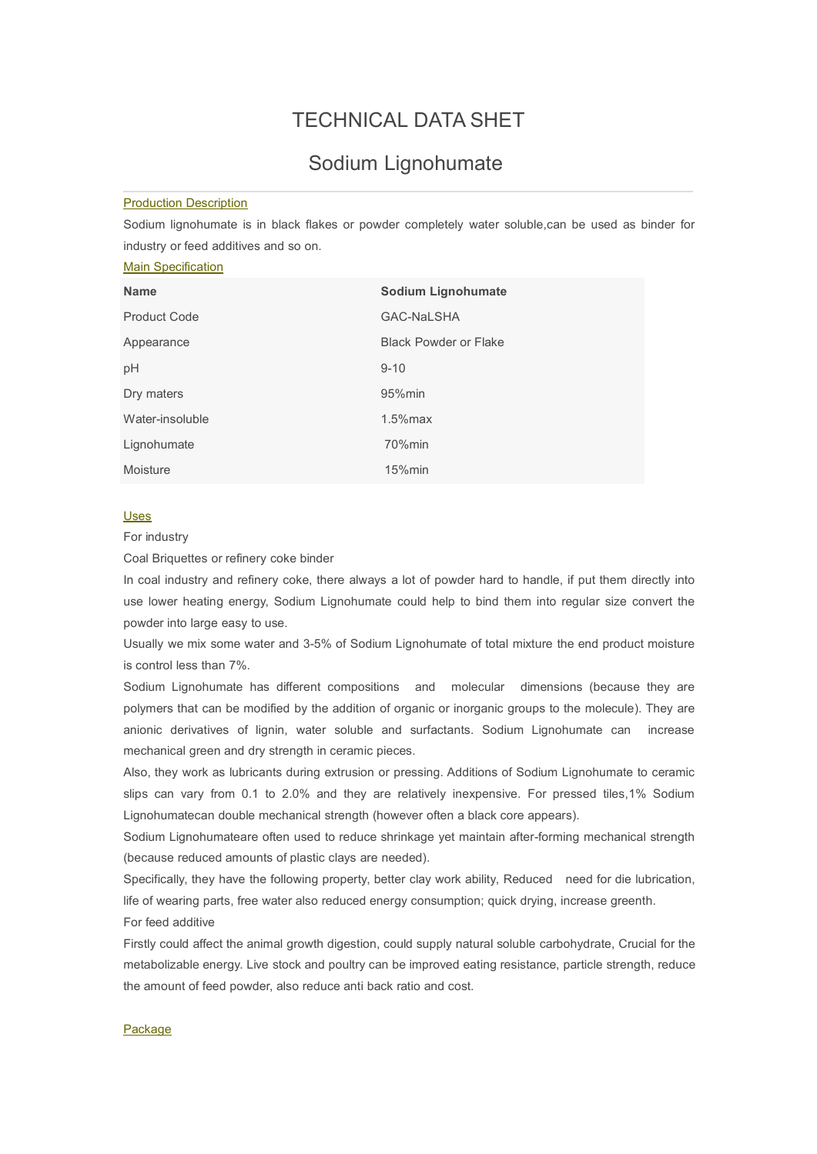# TECHNICAL DATA SHET

## Sodium Lignohumate

#### Production Description

Sodium lignohumate is in black flakes or powder completely water soluble, can be used as binder for industry or feed additives and so on.

### Main Specification

| <b>Name</b>         | <b>Sodium Lignohumate</b>    |
|---------------------|------------------------------|
| <b>Product Code</b> | <b>GAC-NaLSHA</b>            |
| Appearance          | <b>Black Powder or Flake</b> |
| pH                  | $9 - 10$                     |
| Dry maters          | 95% min                      |
| Water-insoluble     | $1.5\%$ max                  |
| Lignohumate         | 70%min                       |
| Moisture            | 15%min                       |

#### Uses

For industry

Coal Briquettes or refinery coke binder

In coal industry and refinery coke, there always a lot of powder hard to handle, if put them directly into use lower heating energy, Sodium Lignohumate could help to bind them into regular size convert the powder into large easy to use.

Usually we mix some water and 3-5% of Sodium Lignohumate of total mixture the end product moisture is control less than 7%.<br>Sodium Lignohumate has different compositions and molecular dimensions (because they are

polymers that can be modified by the addition of organic or inorganic groups to the molecule). They are anionic derivatives of lignin, water soluble and surfactants. Sodium Lignohumate can increase mechanical green and dry strength in ceramic pieces.

Also, they work as lubricants during extrusion or pressing. Additions of Sodium Lignohumate to ceramic slips can vary from 0.1 to 2.0% and they are relatively inexpensive. For pressed tiles,1% Sodium Lignohumatecan double mechanical strength (however often a black core appears).

Sodium Lignohumateare often used to reduce shrinkage yet maintain after-forming mechanical strength (because reduced amounts of plastic clays are needed).

Specifically, they have the following property, better clay work ability, Reduced need for die lubrication, life of wearing parts, free water also reduced energy consumption; quick drying, increase greenth. For feed additive

Firstly could affect the animal growth digestion, could supply natural soluble carbohydrate, Crucial for the metabolizable energy. Live stock and poultry can be improved eating resistance, particle strength, reduce the amount of feed powder, also reduce anti back ratio and cost.

#### Package